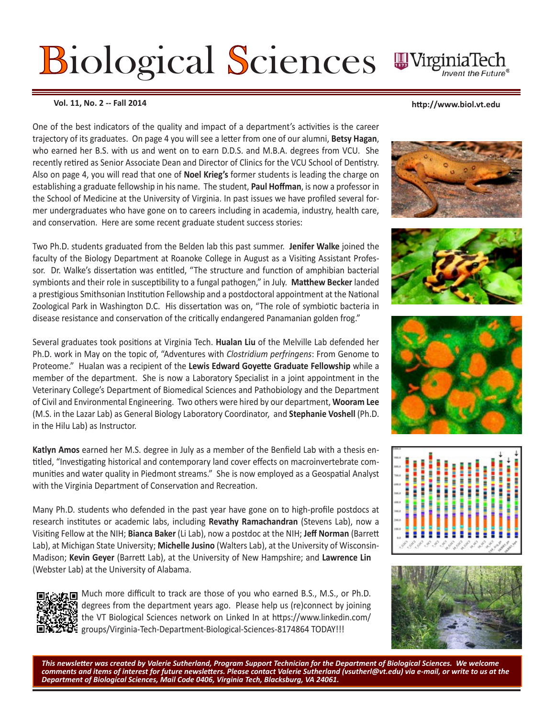# Biological Sciences  $\blacksquare$

**Vol. 11, No. 2 -- Fall 2014 http://www.biol.vt.edu** 

One of the best indicators of the quality and impact of a department's activities is the career trajectory of its graduates. On page 4 you will see a letter from one of our alumni, **Betsy Hagan**, who earned her B.S. with us and went on to earn D.D.S. and M.B.A. degrees from VCU. She recently retired as Senior Associate Dean and Director of Clinics for the VCU School of Dentistry. Also on page 4, you will read that one of **Noel Krieg's** former students is leading the charge on establishing a graduate fellowship in his name. The student, **Paul Hoffman**, is now a professor in the School of Medicine at the University of Virginia. In past issues we have profiled several former undergraduates who have gone on to careers including in academia, industry, health care, and conservation. Here are some recent graduate student success stories:

Two Ph.D. students graduated from the Belden lab this past summer. **Jenifer Walke** joined the faculty of the Biology Department at Roanoke College in August as a Visiting Assistant Professor. Dr. Walke's dissertation was entitled, "The structure and function of amphibian bacterial symbionts and their role in susceptibility to a fungal pathogen," in July. **Matthew Becker** landed a prestigious Smithsonian Institution Fellowship and a postdoctoral appointment at the National Zoological Park in Washington D.C. His dissertation was on, "The role of symbiotic bacteria in disease resistance and conservation of the critically endangered Panamanian golden frog."

Several graduates took positions at Virginia Tech. **Hualan Liu** of the Melville Lab defended her Ph.D. work in May on the topic of, "Adventures with *Clostridium perfringens*: From Genome to Proteome." Hualan was a recipient of the **Lewis Edward Goyette Graduate Fellowship** while a member of the department. She is now a Laboratory Specialist in a joint appointment in the Veterinary College's Department of Biomedical Sciences and Pathobiology and the Department of Civil and Environmental Engineering. Two others were hired by our department, **Wooram Lee**  (M.S. in the Lazar Lab) as General Biology Laboratory Coordinator, and **Stephanie Voshell** (Ph.D. in the Hilu Lab) as Instructor.

**Katlyn Amos** earned her M.S. degree in July as a member of the Benfield Lab with a thesis entitled, "Investigating historical and contemporary land cover effects on macroinvertebrate communities and water quality in Piedmont streams." She is now employed as a Geospatial Analyst with the Virginia Department of Conservation and Recreation.

Many Ph.D. students who defended in the past year have gone on to high-profile postdocs at research institutes or academic labs, including **Revathy Ramachandran** (Stevens Lab), now a Visiting Fellow at the NIH; **Bianca Baker** (Li Lab), now a postdoc at the NIH; **Jeff Norman** (Barrett Lab), at Michigan State University; **Michelle Jusino** (Walters Lab), at the University of Wisconsin-Madison; **Kevin Geyer** (Barrett Lab), at the University of New Hampshire; and **Lawrence Lin** (Webster Lab) at the University of Alabama.



Much more difficult to track are those of you who earned B.S., M.S., or Ph.D. degrees from the department years ago. Please help us (re)connect by joining the VT Biological Sciences network on Linked In at https://www.linkedin.com/ groups/Virginia-Tech-Department-Biological-Sciences-8174864 TODAY!!!











*This newsletter was created by Valerie Sutherland, Program Support Technician for the Department of Biological Sciences. We welcome comments and items of interest for future newsletters. Please contact Valerie Sutherland (vsutherl@vt.edu) via e-mail, or write to us at the Department of Biological Sciences, Mail Code 0406, Virginia Tech, Blacksburg, VA 24061.*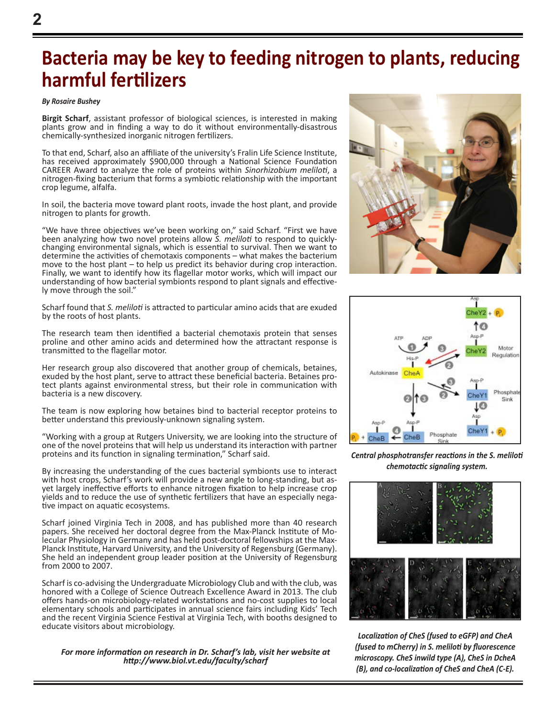# **Bacteria may be key to feeding nitrogen to plants, reducing harmful fertilizers**

#### *By Rosaire Bushey*

**Birgit Scharf**, assistant professor of biological sciences, is interested in making plants grow and in finding a way to do it without environmentally-disastrous chemically-synthesized inorganic nitrogen fertilizers.

To that end, Scharf, also an affiliate of the university's Fralin Life Science Institute, has received approximately \$900,000 through a National Science Foundation CAREER Award to analyze the role of proteins within *Sinorhizobium meliloti*, a nitrogen-fixing bacterium that forms a symbiotic relationship with the important crop legume, alfalfa.

In soil, the bacteria move toward plant roots, invade the host plant, and provide nitrogen to plants for growth.

"We have three objectives we've been working on," said Scharf. "First we have been analyzing how two novel proteins allow *S. meliloti* to respond to quicklychanging environmental signals, which is essential to survival. Then we want to determine the activities of chemotaxis components – what makes the bacterium move to the host plant – to help us predict its behavior during crop interaction. Finally, we want to identify how its flagellar motor works, which will impact our understanding of how bacterial symbionts respond to plant signals and effective- ly move through the soil."

Scharf found that *S. meliloti* is attracted to particular amino acids that are exuded by the roots of host plants.

The research team then identified a bacterial chemotaxis protein that senses proline and other amino acids and determined how the attractant response is transmitted to the flagellar motor.

Her research group also discovered that another group of chemicals, betaines, exuded by the host plant, serve to attract these beneficial bacteria. Betaines protect plants against environmental stress, but their role in communication with bacteria is a new discovery.

The team is now exploring how betaines bind to bacterial receptor proteins to better understand this previously-unknown signaling system.

"Working with a group at Rutgers University, we are looking into the structure of one of the novel proteins that will help us understand its interaction with partner proteins and its function in signaling termination," Scharf said.

By increasing the understanding of the cues bacterial symbionts use to interact with host crops, Scharf's work will provide a new angle to long-standing, but asyet largely ineffective efforts to enhance nitrogen fixation to help increase crop yields and to reduce the use of synthetic fertilizers that have an especially nega- tive impact on aquatic ecosystems.

Scharf joined Virginia Tech in 2008, and has published more than 40 research papers. She received her doctoral degree from the Max-Planck Institute of Mo- lecular Physiology in Germany and has held post-doctoral fellowships at the Max-Planck Institute, Harvard University, and the University of Regensburg (Germany). She held an independent group leader position at the University of Regensburg from 2000 to 2007.

Scharf is co-advising the Undergraduate Microbiology Club and with the club, was honored with a College of Science Outreach Excellence Award in 2013. The club offers hands-on microbiology-related workstations and no-cost supplies to local elementary schools and participates in annual science fairs including Kids' Tech and the recent Virginia Science Festival at Virginia Tech, with booths designed to educate visitors about microbiology.

#### *For more information on research in Dr. Scharf's lab, visit her website at http://www.biol.vt.edu/faculty/scharf*





*Central phosphotransfer reactions in the S. meliloti chemotactic signaling system.*



*Localization of CheS (fused to eGFP) and CheA (fused to mCherry) in S. meliloti by fluorescence microscopy. CheS inwild type (A), CheS in DcheA (B), and co-localization of CheS and CheA (C-E).*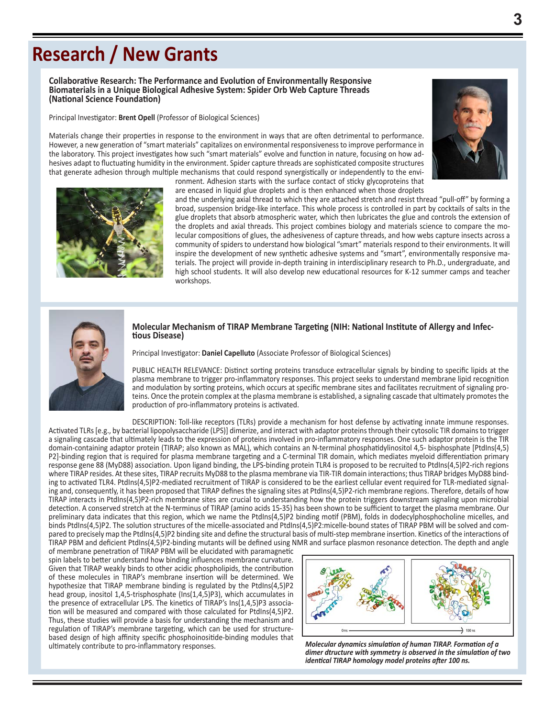# **Research / New Grants**

**Collaborative Research: The Performance and Evolution of Environmentally Responsive Biomaterials in a Unique Biological Adhesive System: Spider Orb Web Capture Threads (National Science Foundation)**

Principal Investigator: **Brent Opell** (Professor of Biological Sciences)

Materials change their properties in response to the environment in ways that are often detrimental to performance. However, a new generation of "smart materials" capitalizes on environmental responsiveness to improve performance in the laboratory. This project investigates how such "smart materials" evolve and function in nature, focusing on how adhesives adapt to fluctuating humidity in the environment. Spider capture threads are sophisticated composite structures that generate adhesion through multiple mechanisms that could respond synergistically or independently to the environment. Adhesion starts with the surface contact of sticky glycoproteins that





are encased in liquid glue droplets and is then enhanced when those droplets and the underlying axial thread to which they are attached stretch and resist thread "pull-off" by forming a broad, suspension bridge-like interface. This whole process is controlled in part by cocktails of salts in the glue droplets that absorb atmospheric water, which then lubricates the glue and controls the extension of the droplets and axial threads. This project combines biology and materials science to compare the molecular compositions of glues, the adhesiveness of capture threads, and how webs capture insects across a community of spiders to understand how biological "smart" materials respond to their environments. It will inspire the development of new synthetic adhesive systems and "smart", environmentally responsive materials. The project will provide in-depth training in interdisciplinary research to Ph.D., undergraduate, and high school students. It will also develop new educational resources for K-12 summer camps and teacher workshops.



# **Molecular Mechanism of TIRAP Membrane Targeting (NIH: National Institute of Allergy and Infec- tious Disease)**

Principal Investigator: **Daniel Capelluto** (Associate Professor of Biological Sciences)

PUBLIC HEALTH RELEVANCE: Distinct sorting proteins transduce extracellular signals by binding to specific lipids at the plasma membrane to trigger pro-inflammatory responses. This project seeks to understand membrane lipid recognition and modulation by sorting proteins, which occurs at specific membrane sites and facilitates recruitment of signaling proteins. Once the protein complex at the plasma membrane is established, a signaling cascade that ultimately promotes the production of pro-inflammatory proteins is activated.

DESCRIPTION: Toll-like receptors (TLRs) provide a mechanism for host defense by activating innate immune responses. Activated TLRs [e.g., by bacterial lipopolysaccharide (LPS)] dimerize, and interact with adaptor proteins through their cytosolic TIR domains to trigger a signaling cascade that ultimately leads to the expression of proteins involved in pro-inflammatory responses. One such adaptor protein is the TIR domain-containing adaptor protein (TIRAP; also known as MAL), which contains an N-terminal phosphatidylinositol 4,5- bisphosphate [PtdIns(4,5) P2]-binding region that is required for plasma membrane targeting and a C-terminal TIR domain, which mediates myeloid differentiation primary response gene 88 (MyD88) association. Upon ligand binding, the LPS-binding protein TLR4 is proposed to be recruited to PtdIns(4,5)P2-rich regions where TIRAP resides. At these sites, TIRAP recruits MyD88 to the plasma membrane via TIR-TIR domain interactions; thus TIRAP bridges MyD88 binding to activated TLR4. PtdIns(4,5)P2-mediated recruitment of TIRAP is considered to be the earliest cellular event required for TLR-mediated signaling and, consequently, it has been proposed that TIRAP defines the signaling sites at PtdIns(4,5)P2-rich membrane regions. Therefore, details of how TIRAP interacts in PtdIns(4,5)P2-rich membrane sites are crucial to understanding how the protein triggers downstream signaling upon microbial detection. A conserved stretch at the N-terminus of TIRAP (amino acids 15-35) has been shown to be sufficient to target the plasma membrane. Our preliminary data indicates that this region, which we name the PtdIns(4,5)P2 binding motif (PBM), folds in dodecylphosphocholine micelles, and binds PtdIns(4,5)P2. The solution structures of the micelle-associated and PtdIns(4,5)P2:micelle-bound states of TIRAP PBM will be solved and compared to precisely map the PtdIns(4,5)P2 binding site and define the structural basis of multi-step membrane insertion. Kinetics of the interactions of TIRAP PBM and deficient PtdIns(4,5)P2-binding mutants will be defined using NMR and surface plasmon resonance detection. The depth and angle

of membrane penetration of TIRAP PBM will be elucidated with paramagnetic spin labels to better understand how binding influences membrane curvature. Given that TIRAP weakly binds to other acidic phospholipids, the contribution of these molecules in TIRAP's membrane insertion will be determined. We hypothesize that TIRAP membrane binding is regulated by the PtdIns(4,5)P2 head group, inositol 1,4,5-trisphosphate (Ins(1,4,5)P3), which accumulates in the presence of extracellular LPS. The kinetics of TIRAP's Ins(1,4,5)P3 association will be measured and compared with those calculated for PtdIns(4,5)P2. Thus, these studies will provide a basis for understanding the mechanism and regulation of TIRAP's membrane targeting, which can be used for structurebased design of high affinity specific phosphoinositide-binding modules that ultimately contribute to pro-inflammatory responses. *Molecular dynamics simulation of human TIRAP. Formation of a* 



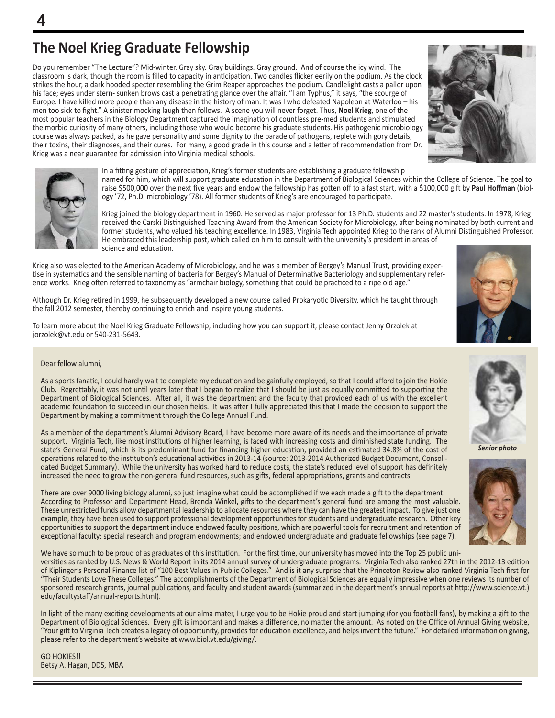Do you remember "The Lecture"? Mid-winter. Gray sky. Gray buildings. Gray ground. And of course the icy wind. The classroom is dark, though the room is filled to capacity in anticipation. Two candles flicker eerily on the podium. As the clock strikes the hour, a dark hooded specter resembling the Grim Reaper approaches the podium. Candlelight casts a pallor upon his face; eyes under stern- sunken brows cast a penetrating glance over the affair. "I am Typhus," it says, "the scourge of Europe. I have killed more people than any disease in the history of man. It was I who defeated Napoleon at Waterloo – his men too sick to fight." A sinister mocking laugh then follows. A scene you will never forget. Thus, **Noel Krieg**, one of the most popular teachers in the Biology Department captured the imagination of countless pre-med students and stimulated the morbid curiosity of many others, including those who would become his graduate students. His pathogenic microbiology course was always packed, as he gave personality and some dignity to the parade of pathogens, replete with gory details, their toxins, their diagnoses, and their cures. For many, a good grade in this course and a letter of recommendation from Dr. Krieg was a near guarantee for admission into Virginia medical schools.





**4**

In a fitting gesture of appreciation, Krieg's former students are establishing a graduate fellowship named for him, which will support graduate education in the Department of Biological Sciences within the College of Science. The goal to raise \$500,000 over the next five years and endow the fellowship has gotten off to a fast start, with a \$100,000 gift by **Paul Hoffman** (biology '72, Ph.D. microbiology '78). All former students of Krieg's are encouraged to participate.

Krieg joined the biology department in 1960. He served as major professor for 13 Ph.D. students and 22 master's students. In 1978, Krieg received the Carski Distinguished Teaching Award from the American Society for Microbiology, after being nominated by both current and former students, who valued his teaching excellence. In 1983, Virginia Tech appointed Krieg to the rank of Alumni Distinguished Professor. He embraced this leadership post, which called on him to consult with the university's president in areas of science and education.

Krieg also was elected to the American Academy of Microbiology, and he was a member of Bergey's Manual Trust, providing expertise in systematics and the sensible naming of bacteria for Bergey's Manual of Determinative Bacteriology and supplementary reference works. Krieg often referred to taxonomy as "armchair biology, something that could be practiced to a ripe old age."

Although Dr. Krieg retired in 1999, he subsequently developed a new course called Prokaryotic Diversity, which he taught through the fall 2012 semester, thereby continuing to enrich and inspire young students.

To learn more about the Noel Krieg Graduate Fellowship, including how you can support it, please contact Jenny Orzolek at jorzolek@vt.edu or 540-231-5643.

#### Dear fellow alumni,

As a sports fanatic, I could hardly wait to complete my education and be gainfully employed, so that I could afford to join the Hokie Club. Regrettably, it was not until years later that I began to realize that I should be just as equally committed to supporting the Department of Biological Sciences. After all, it was the department and the faculty that provided each of us with the excellent academic foundation to succeed in our chosen fields. It was after I fully appreciated this that I made the decision to support the Department by making a commitment through the College Annual Fund.

As a member of the department's Alumni Advisory Board, I have become more aware of its needs and the importance of private support. Virginia Tech, like most institutions of higher learning, is faced with increasing costs and diminished state funding. The state's General Fund, which is its predominant fund for financing higher education, provided an estimated 34.8% of the cost of operations related to the institution's educational activities in 2013-14 (source: 2013-2014 Authorized Budget Document, Consolidated Budget Summary). While the university has worked hard to reduce costs, the state's reduced level of support has definitely increased the need to grow the non-general fund resources, such as gifts, federal appropriations, grants and contracts.

There are over 9000 living biology alumni, so just imagine what could be accomplished if we each made a gift to the department. According to Professor and Department Head, Brenda Winkel, gifts to the department's general fund are among the most valuable. These unrestricted funds allow departmental leadership to allocate resources where they can have the greatest impact. To give just one example, they have been used to support professional development opportunities for students and undergraduate research. Other key opportunities to support the department include endowed faculty positions, which are powerful tools for recruitment and retention of exceptional faculty; special research and program endowments; and endowed undergraduate and graduate fellowships (see page 7).

We have so much to be proud of as graduates of this institution. For the first time, our university has moved into the Top 25 public universities as ranked by U.S. News & World Report in its 2014 annual survey of undergraduate programs. Virginia Tech also ranked 27th in the 2012-13 edition of Kiplinger's Personal Finance list of "100 Best Values in Public Colleges." And is it any surprise that the Princeton Review also ranked Virginia Tech first for "Their Students Love These Colleges." The accomplishments of the Department of Biological Sciences are equally impressive when one reviews its number of sponsored research grants, journal publications, and faculty and student awards (summarized in the department's annual reports at http://www.science.vt.) edu/facultystaff/annual-reports.html).

In light of the many exciting developments at our alma mater, I urge you to be Hokie proud and start jumping (for you football fans), by making a gift to the Department of Biological Sciences. Every gift is important and makes a difference, no matter the amount. As noted on the Office of Annual Giving website, "Your gift to Virginia Tech creates a legacy of opportunity, provides for education excellence, and helps invent the future." For detailed information on giving, please refer to the department's website at www.biol.vt.edu/giving/.

GO HOKIES!! Betsy A. Hagan, DDS, MBA





*Senior photo*

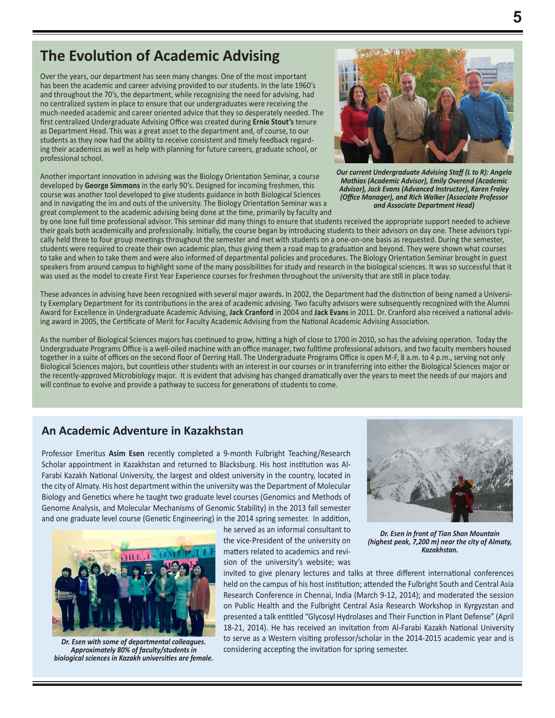## **The Evolution of Academic Advising**

Over the years, our department has seen many changes. One of the most important has been the academic and career advising provided to our students. In the late 1960's and throughout the 70's, the department, while recognizing the need for advising, had no centralized system in place to ensure that our undergraduates were receiving the much-needed academic and career oriented advice that they so desperately needed. The first centralized Undergraduate Advising Office was created during **Ernie Stout's** tenure as Department Head. This was a great asset to the department and, of course, to our students as they now had the ability to receive consistent and timely feedback regarding their academics as well as help with planning for future careers, graduate school, or professional school.

Another important innovation in advising was the Biology Orientation Seminar, a course developed by **George Simmons** in the early 90's. Designed for incoming freshmen, this course was another tool developed to give students guidance in both Biological Sciences and in navigating the ins and outs of the university. The Biology Orientation Seminar was a great complement to the academic advising being done at the time, primarily by faculty and



*Our current Undergraduate Advising Staff (L to R): Angela Mathias (Academic Advisor), Emily Overend (Academic Advisor), Jack Evans (Advanced Instructor), Karen Fraley (Office Manager), and Rich Walker (Associate Professor and Associate Department Head)*

by one lone full time professional advisor. This seminar did many things to ensure that students received the appropriate support needed to achieve their goals both academically and professionally. Initially, the course began by introducing students to their advisors on day one. These advisors typically held three to four group meetings throughout the semester and met with students on a one-on-one basis as requested. During the semester, students were required to create their own academic plan, thus giving them a road map to graduation and beyond. They were shown what courses to take and when to take them and were also informed of departmental policies and procedures. The Biology Orientation Seminar brought in guest speakers from around campus to highlight some of the many possibilities for study and research in the biological sciences. It was so successful that it was used as the model to create First Year Experience courses for freshmen throughout the university that are still in place today.

These advances in advising have been recognized with several major awards. In 2002, the Department had the distinction of being named a University Exemplary Department for its contributions in the area of academic advising. Two faculty advisors were subsequently recognized with the Alumni Award for Excellence in Undergraduate Academic Advising, **Jack Cranford** in 2004 and **Jack Evans** in 2011. Dr. Cranford also received a national advising award in 2005, the Certificate of Merit for Faculty Academic Advising from the National Academic Advising Association.

As the number of Biological Sciences majors has continued to grow, hitting a high of close to 1700 in 2010, so has the advising operation. Today the Undergraduate Programs Office is a well-oiled machine with an office manager, two fulltime professional advisors, and two faculty members housed together in a suite of offices on the second floor of Derring Hall. The Undergraduate Programs Office is open M-F, 8 a.m. to 4 p.m., serving not only Biological Sciences majors, but countless other students with an interest in our courses or in transferring into either the Biological Sciences major or the recently-approved Microbiology major. It is evident that advising has changed dramatically over the years to meet the needs of our majors and will continue to evolve and provide a pathway to success for generations of students to come.

### **An Academic Adventure in Kazakhstan**

Professor Emeritus **Asim Esen** recently completed a 9-month Fulbright Teaching/Research Scholar appointment in Kazakhstan and returned to Blacksburg. His host institution was Al-Farabi Kazakh National University, the largest and oldest university in the country, located in the city of Almaty. His host department within the university was the Department of Molecular Biology and Genetics where he taught two graduate level courses (Genomics and Methods of Genome Analysis, and Molecular Mechanisms of Genomic Stability) in the 2013 fall semester and one graduate level course (Genetic Engineering) in the 2014 spring semester. In addition,



*Dr. Esen with some of departmental colleagues. Approximately 80% of faculty/students in biological sciences in Kazakh universities are female.*

he served as an informal consultant to the vice-President of the university on matters related to academics and revision of the university's website; was



*Dr. Esen in front of Tian Shan Mountain (highest peak, 7,200 m) near the city of Almaty, Kazakhstan.*

invited to give plenary lectures and talks at three different international conferences held on the campus of his host institution; attended the Fulbright South and Central Asia Research Conference in Chennai, India (March 9-12, 2014); and moderated the session on Public Health and the Fulbright Central Asia Research Workshop in Kyrgyzstan and presented a talk entitled "Glycosyl Hydrolases and Their Function in Plant Defense" (April 18-21, 2014). He has received an invitation from Al-Farabi Kazakh National University to serve as a Western visiting professor/scholar in the 2014-2015 academic year and is considering accepting the invitation for spring semester.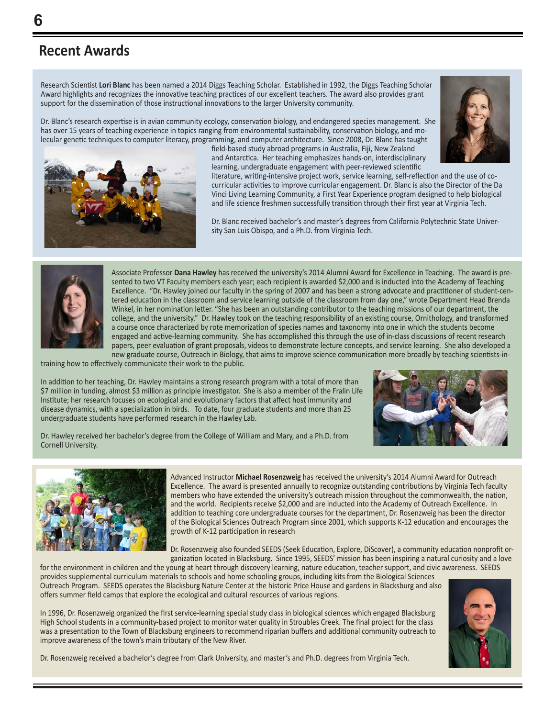# **Recent Awards**

Research Scientist **Lori Blanc** has been named a 2014 Diggs Teaching Scholar. Established in 1992, the Diggs Teaching Scholar Award highlights and recognizes the innovative teaching practices of our excellent teachers. The award also provides grant support for the dissemination of those instructional innovations to the larger University community.

Dr. Blanc's research expertise is in avian community ecology, conservation biology, and endangered species management. She has over 15 years of teaching experience in topics ranging from environmental sustainability, conservation biology, and molecular genetic techniques to computer literacy, programming, and computer architecture. Since 2008, Dr. Blanc has taught



field-based study abroad programs in Australia, Fiji, New Zealand and Antarctica. Her teaching emphasizes hands-on, interdisciplinary learning, undergraduate engagement with peer-reviewed scientific



literature, writing-intensive project work, service learning, self-reflection and the use of cocurricular activities to improve curricular engagement. Dr. Blanc is also the Director of the Da Vinci Living Learning Community, a First Year Experience program designed to help biological and life science freshmen successfully transition through their first year at Virginia Tech.

Dr. Blanc received bachelor's and master's degrees from California Polytechnic State University San Luis Obispo, and a Ph.D. from Virginia Tech.



Associate Professor **Dana Hawley** has received the university's 2014 Alumni Award for Excellence in Teaching. The award is presented to two VT Faculty members each year; each recipient is awarded \$2,000 and is inducted into the Academy of Teaching Excellence. "Dr. Hawley joined our faculty in the spring of 2007 and has been a strong advocate and practitioner of student-centered education in the classroom and service learning outside of the classroom from day one," wrote Department Head Brenda Winkel, in her nomination letter. "She has been an outstanding contributor to the teaching missions of our department, the college, and the university." Dr. Hawley took on the teaching responsibility of an existing course, Ornithology, and transformed a course once characterized by rote memorization of species names and taxonomy into one in which the students become engaged and active-learning community. She has accomplished this through the use of in-class discussions of recent research papers, peer evaluation of grant proposals, videos to demonstrate lecture concepts, and service learning. She also developed a new graduate course, Outreach in Biology, that aims to improve science communication more broadly by teaching scientists-in-

training how to effectively communicate their work to the public.

In addition to her teaching, Dr. Hawley maintains a strong research program with a total of more than \$7 million in funding, almost \$3 million as principle investigator. She is also a member of the Fralin Life Institute; her research focuses on ecological and evolutionary factors that affect host immunity and disease dynamics, with a specialization in birds. To date, four graduate students and more than 25 undergraduate students have performed research in the Hawley Lab.



Dr. Hawley received her bachelor's degree from the College of William and Mary, and a Ph.D. from Cornell University.



Advanced Instructor **Michael Rosenzweig** has received the university's 2014 Alumni Award for Outreach Excellence. The award is presented annually to recognize outstanding contributions by Virginia Tech faculty members who have extended the university's outreach mission throughout the commonwealth, the nation, and the world. Recipients receive \$2,000 and are inducted into the Academy of Outreach Excellence. In addition to teaching core undergraduate courses for the department, Dr. Rosenzweig has been the director of the Biological Sciences Outreach Program since 2001, which supports K-12 education and encourages the growth of K-12 participation in research

Dr. Rosenzweig also founded SEEDS (Seek Education, Explore, DiScover), a community education nonprofit organization located in Blacksburg. Since 1995, SEEDS' mission has been inspiring a natural curiosity and a love

for the environment in children and the young at heart through discovery learning, nature education, teacher support, and civic awareness. SEEDS provides supplemental curriculum materials to schools and home schooling groups, including kits from the Biological Sciences Outreach Program. SEEDS operates the Blacksburg Nature Center at the historic Price House and gardens in Blacksburg and also offers summer field camps that explore the ecological and cultural resources of various regions.

In 1996, Dr. Rosenzweig organized the first service-learning special study class in biological sciences which engaged Blacksburg High School students in a community-based project to monitor water quality in Stroubles Creek. The final project for the class was a presentation to the Town of Blacksburg engineers to recommend riparian buffers and additional community outreach to improve awareness of the town's main tributary of the New River.



Dr. Rosenzweig received a bachelor's degree from Clark University, and master's and Ph.D. degrees from Virginia Tech.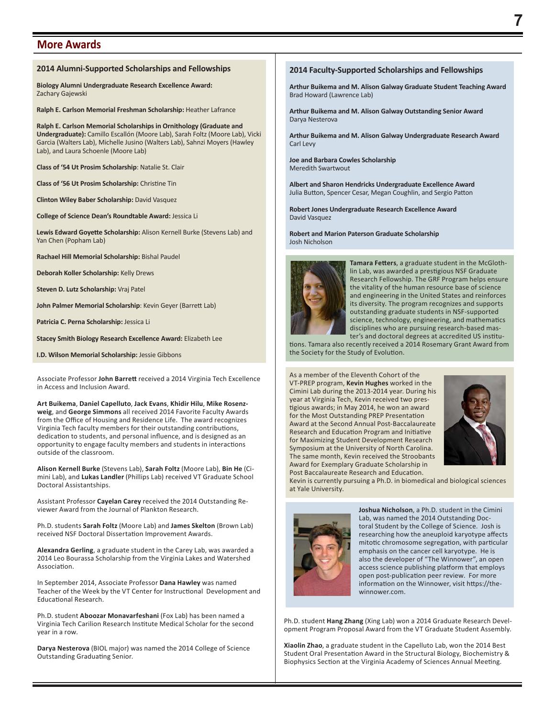#### **More Awards**

#### **2014 Alumni-Supported Scholarships and Fellowships**

**Biology Alumni Undergraduate Research Excellence Award:**  Zachary Gajewski

**Ralph E. Carlson Memorial Freshman Scholarship:** Heather Lafrance

**Ralph E. Carlson Memorial Scholarships in Ornithology (Graduate and Undergraduate):** Camillo Escallón (Moore Lab), Sarah Foltz (Moore Lab), Vicki Garcia (Walters Lab), Michelle Jusino (Walters Lab), Sahnzi Moyers (Hawley Lab), and Laura Schoenle (Moore Lab)

**Class of '54 Ut Prosim Scholarship**: Natalie St. Clair

**Class of '56 Ut Prosim Scholarship:** Christine Tin

**Clinton Wiley Baber Scholarship:** David Vasquez

**College of Science Dean's Roundtable Award:** Jessica Li

**Lewis Edward Goyette Scholarship:** Alison Kernell Burke (Stevens Lab) and Yan Chen (Popham Lab)

**Rachael Hill Memorial Scholarship:** Bishal Paudel

**Deborah Koller Scholarship:** Kelly Drews

**Steven D. Lutz Scholarship:** Vraj Patel

**John Palmer Memorial Scholarship**: Kevin Geyer (Barrett Lab)

**Patricia C. Perna Scholarship:** Jessica Li

**Stacey Smith Biology Research Excellence Award:** Elizabeth Lee

**I.D. Wilson Memorial Scholarship:** Jessie Gibbons

Associate Professor **John Barrett** received a 2014 Virginia Tech Excellence in Access and Inclusion Award.

**Art Buikema**, **Daniel Capelluto**, **Jack Evans**, **Khidir Hilu**, **Mike Rosenzweig**, and **George Simmons** all received 2014 Favorite Faculty Awards from the Office of Housing and Residence Life. The award recognizes Virginia Tech faculty members for their outstanding contributions, dedication to students, and personal influence, and is designed as an opportunity to engage faculty members and students in interactions outside of the classroom.

**Alison Kernell Burke** (Stevens Lab), **Sarah Foltz** (Moore Lab), **Bin He** (Cimini Lab), and **Lukas Landler** (Phillips Lab) received VT Graduate School Doctoral Assistantships.

Assistant Professor **Cayelan Carey** received the 2014 Outstanding Reviewer Award from the Journal of Plankton Research.

Ph.D. students **Sarah Foltz** (Moore Lab) and **James Skelton** (Brown Lab) received NSF Doctoral Dissertation Improvement Awards.

**Alexandra Gerling**, a graduate student in the Carey Lab, was awarded a 2014 Leo Bourassa Scholarship from the Virginia Lakes and Watershed Association.

In September 2014, Associate Professor **Dana Hawley** was named Teacher of the Week by the VT Center for Instructional Development and Educational Research.

Ph.D. student **Aboozar Monavarfeshani** (Fox Lab) has been named a Virginia Tech Carilion Research Institute Medical Scholar for the second year in a row.

**Darya Nesterova** (BIOL major) was named the 2014 College of Science Outstanding Graduating Senior.

#### **2014 Faculty-Supported Scholarships and Fellowships**

**Arthur Buikema and M. Alison Galway Graduate Student Teaching Award** Brad Howard (Lawrence Lab)

**Arthur Buikema and M. Alison Galway Outstanding Senior Award** Darya Nesterova

**Arthur Buikema and M. Alison Galway Undergraduate Research Award** Carl Levy

**Joe and Barbara Cowles Scholarship** Meredith Swartwout

**Albert and Sharon Hendricks Undergraduate Excellence Award** Julia Button, Spencer Cesar, Megan Coughlin, and Sergio Patton

**Robert Jones Undergraduate Research Excellence Award** David Vasquez

**Robert and Marion Paterson Graduate Scholarship** Josh Nicholson



**Tamara Fetters**, a graduate student in the McGlothlin Lab, was awarded a prestigious NSF Graduate Research Fellowship. The GRF Program helps ensure the vitality of the human resource base of science and engineering in the United States and reinforces its diversity. The program recognizes and supports outstanding graduate students in NSF-supported science, technology, engineering, and mathematics disciplines who are pursuing research-based master's and doctoral degrees at accredited US institu-

tions. Tamara also recently received a 2014 Rosemary Grant Award from the Society for the Study of Evolution.

As a member of the Eleventh Cohort of the VT-PREP program, **Kevin Hughes** worked in the Cimini Lab during the 2013-2014 year. During his year at Virginia Tech, Kevin received two prestigious awards; in May 2014, he won an award for the Most Outstanding PREP Presentation Award at the Second Annual Post-Baccalaureate Research and Education Program and Initiative for Maximizing Student Development Research Symposium at the University of North Carolina. The same month, Kevin received the Stroobants Award for Exemplary Graduate Scholarship in Post Baccalaureate Research and Education.



Kevin is currently pursuing a Ph.D. in biomedical and biological sciences at Yale University.



**Joshua Nicholson**, a Ph.D. student in the Cimini Lab, was named the 2014 Outstanding Doctoral Student by the College of Science. Josh is researching how the aneuploid karyotype affects mitotic chromosome segregation, with particular emphasis on the cancer cell karyotype. He is also the developer of "The Winnower", an open access science publishing platform that employs open post-publication peer review. For more information on the Winnower, visit https://thewinnower.com.

Ph.D. student **Hang Zhang** (Xing Lab) won a 2014 Graduate Research Development Program Proposal Award from the VT Graduate Student Assembly.

**Xiaolin Zhao**, a graduate student in the Capelluto Lab, won the 2014 Best Student Oral Presentation Award in the Structural Biology, Biochemistry & Biophysics Section at the Virginia Academy of Sciences Annual Meeting.